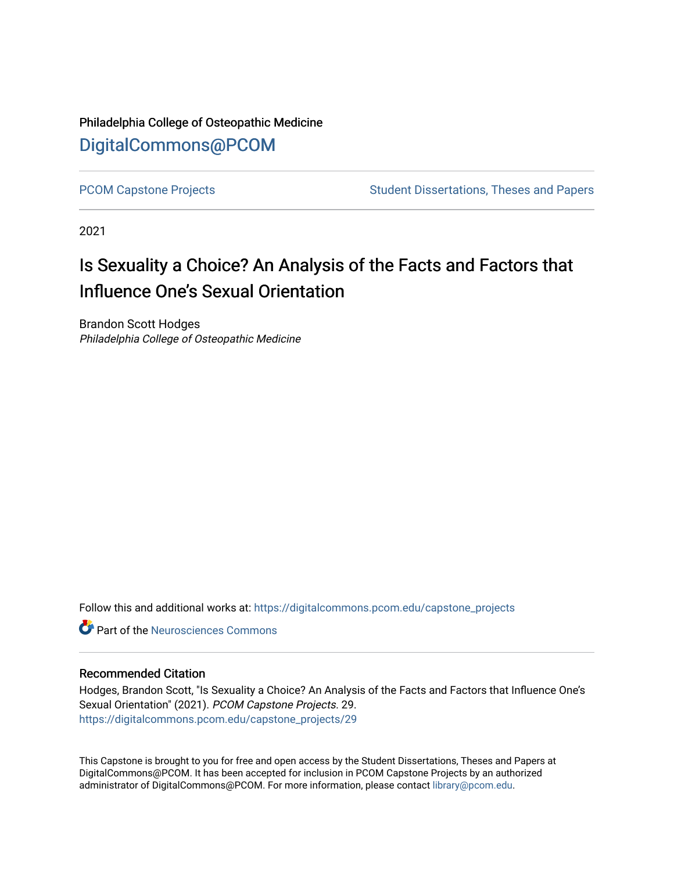Philadelphia College of Osteopathic Medicine [DigitalCommons@PCOM](https://digitalcommons.pcom.edu/) 

[PCOM Capstone Projects](https://digitalcommons.pcom.edu/capstone_projects) **Student Dissertations, Theses and Papers** Student Dissertations, Theses and Papers

2021

## Is Sexuality a Choice? An Analysis of the Facts and Factors that Influence One's Sexual Orientation

Brandon Scott Hodges Philadelphia College of Osteopathic Medicine

Follow this and additional works at: [https://digitalcommons.pcom.edu/capstone\\_projects](https://digitalcommons.pcom.edu/capstone_projects?utm_source=digitalcommons.pcom.edu%2Fcapstone_projects%2F29&utm_medium=PDF&utm_campaign=PDFCoverPages)

**C** Part of the Neurosciences Commons

## Recommended Citation

Hodges, Brandon Scott, "Is Sexuality a Choice? An Analysis of the Facts and Factors that Influence One's Sexual Orientation" (2021). PCOM Capstone Projects. 29. [https://digitalcommons.pcom.edu/capstone\\_projects/29](https://digitalcommons.pcom.edu/capstone_projects/29?utm_source=digitalcommons.pcom.edu%2Fcapstone_projects%2F29&utm_medium=PDF&utm_campaign=PDFCoverPages) 

This Capstone is brought to you for free and open access by the Student Dissertations, Theses and Papers at DigitalCommons@PCOM. It has been accepted for inclusion in PCOM Capstone Projects by an authorized administrator of DigitalCommons@PCOM. For more information, please contact [library@pcom.edu.](mailto:library@pcom.edu)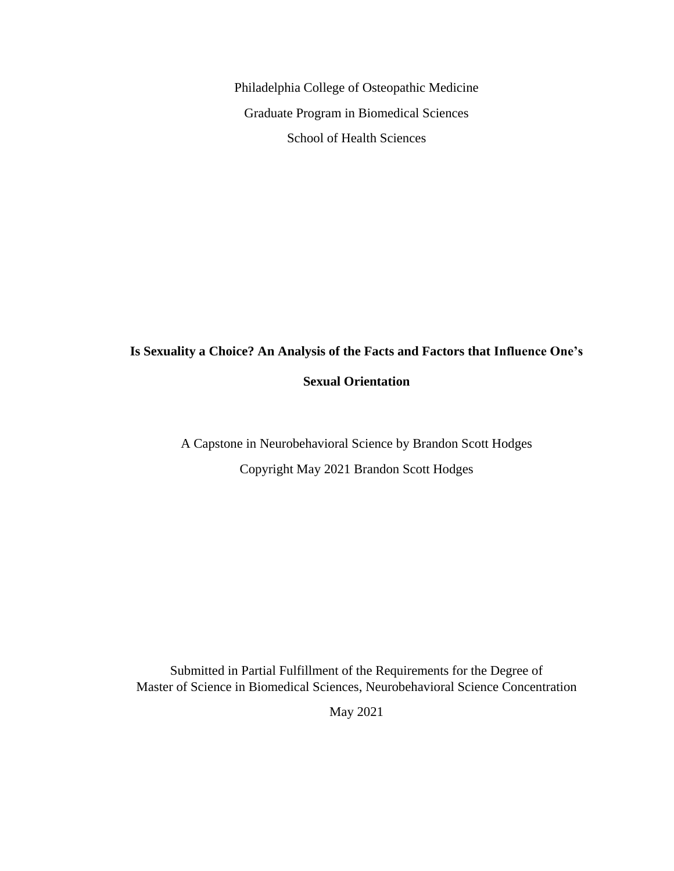Philadelphia College of Osteopathic Medicine Graduate Program in Biomedical Sciences School of Health Sciences

# **Is Sexuality a Choice? An Analysis of the Facts and Factors that Influence One's**

## **Sexual Orientation**

A Capstone in Neurobehavioral Science by Brandon Scott Hodges Copyright May 2021 Brandon Scott Hodges

Submitted in Partial Fulfillment of the Requirements for the Degree of Master of Science in Biomedical Sciences, Neurobehavioral Science Concentration

May 2021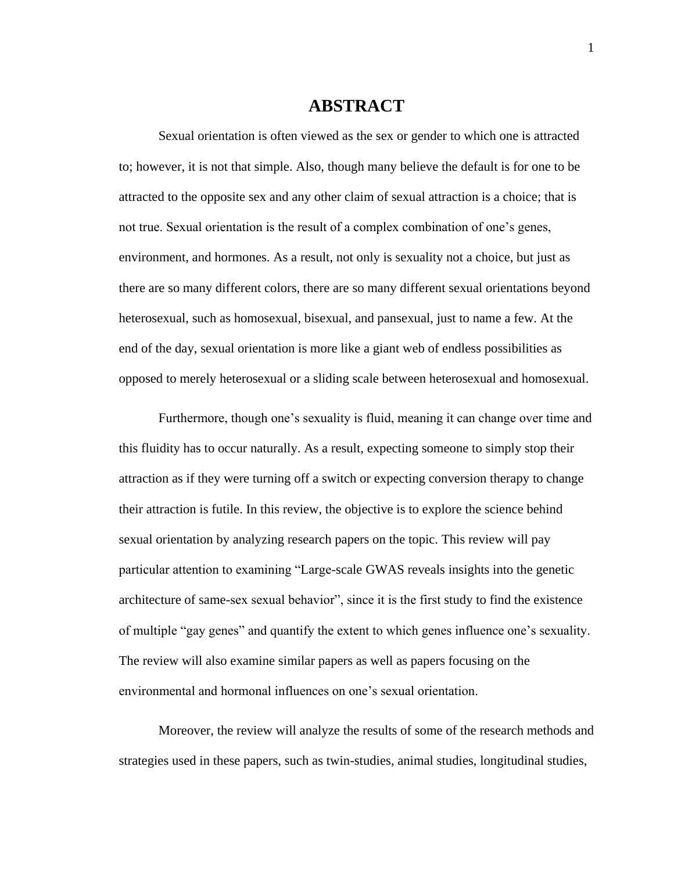## **ABSTRACT**

Sexual orientation is often viewed as the sex or gender to which one is attracted to; however, it is not that simple. Also, though many believe the default is for one to be attracted to the opposite sex and any other claim of sexual attraction is a choice; that is not true. Sexual orientation is the result of a complex combination of one's genes, environment, and hormones. As a result, not only is sexuality not a choice, but just as there are so many different colors, there are so many different sexual orientations beyond heterosexual, such as homosexual, bisexual, and pansexual, just to name a few. At the end of the day, sexual orientation is more like a giant web of endless possibilities as opposed to merely heterosexual or a sliding scale between heterosexual and homosexual.

Furthermore, though one's sexuality is fluid, meaning it can change over time and this fluidity has to occur naturally. As a result, expecting someone to simply stop their attraction as if they were turning off a switch or expecting conversion therapy to change their attraction is futile. In this review, the objective is to explore the science behind sexual orientation by analyzing research papers on the topic. This review will pay particular attention to examining "Large-scale GWAS reveals insights into the genetic architecture of same-sex sexual behavior", since it is the first study to find the existence of multiple "gay genes" and quantify the extent to which genes influence one's sexuality. The review will also examine similar papers as well as papers focusing on the environmental and hormonal influences on one's sexual orientation.

Moreover, the review will analyze the results of some of the research methods and strategies used in these papers, such as twin-studies, animal studies, longitudinal studies,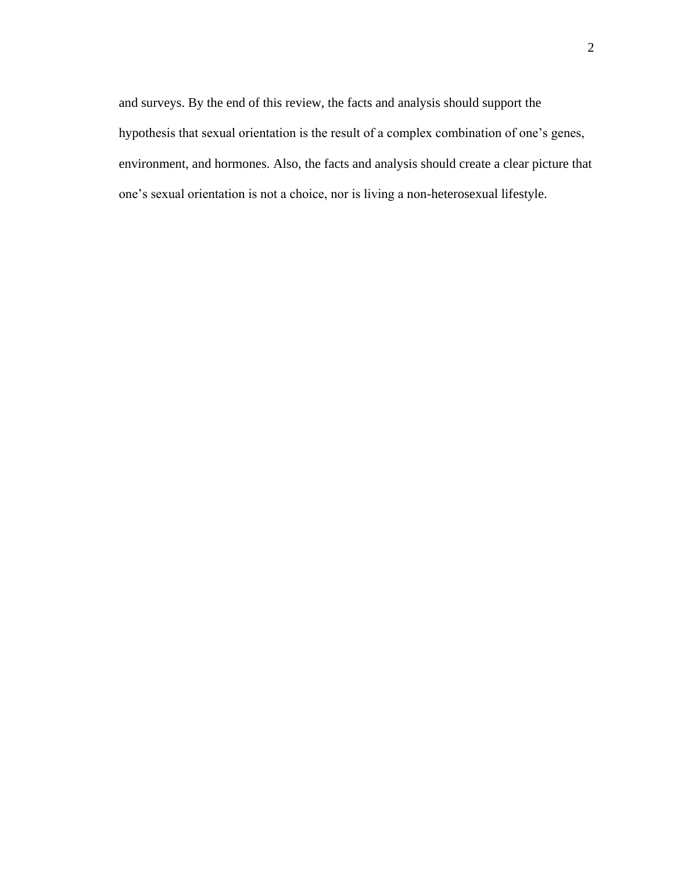and surveys. By the end of this review, the facts and analysis should support the hypothesis that sexual orientation is the result of a complex combination of one's genes, environment, and hormones. Also, the facts and analysis should create a clear picture that one's sexual orientation is not a choice, nor is living a non-heterosexual lifestyle.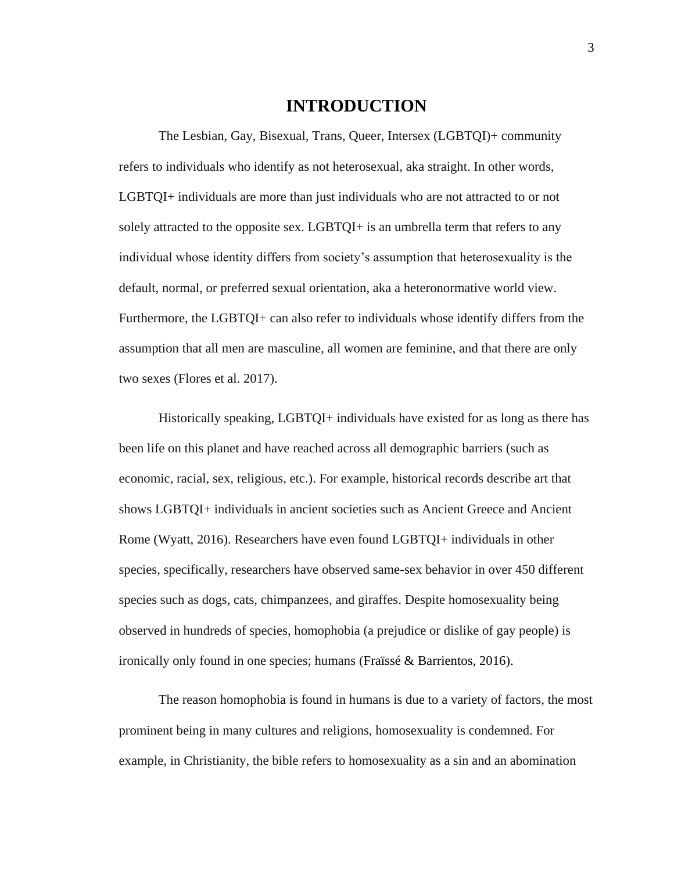## **INTRODUCTION**

The Lesbian, Gay, Bisexual, Trans, Queer, Intersex (LGBTQI)+ community refers to individuals who identify as not heterosexual, aka straight. In other words, LGBTQI+ individuals are more than just individuals who are not attracted to or not solely attracted to the opposite sex. LGBTQI+ is an umbrella term that refers to any individual whose identity differs from society's assumption that heterosexuality is the default, normal, or preferred sexual orientation, aka a heteronormative world view. Furthermore, the LGBTQI+ can also refer to individuals whose identify differs from the assumption that all men are masculine, all women are feminine, and that there are only two sexes (Flores et al. 2017).

Historically speaking, LGBTQI+ individuals have existed for as long as there has been life on this planet and have reached across all demographic barriers (such as economic, racial, sex, religious, etc.). For example, historical records describe art that shows LGBTQI+ individuals in ancient societies such as Ancient Greece and Ancient Rome (Wyatt, 2016). Researchers have even found LGBTQI+ individuals in other species, specifically, researchers have observed same-sex behavior in over 450 different species such as dogs, cats, chimpanzees, and giraffes. Despite homosexuality being observed in hundreds of species, homophobia (a prejudice or dislike of gay people) is ironically only found in one species; humans (Fraïssé & Barrientos, 2016).

The reason homophobia is found in humans is due to a variety of factors, the most prominent being in many cultures and religions, homosexuality is condemned. For example, in Christianity, the bible refers to homosexuality as a sin and an abomination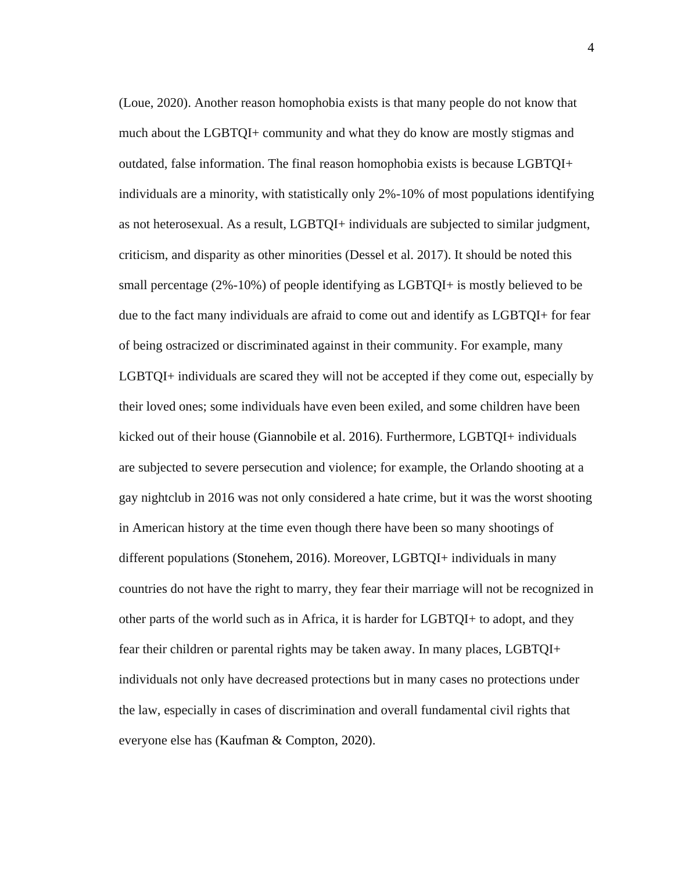(Loue, 2020). Another reason homophobia exists is that many people do not know that much about the LGBTQI+ community and what they do know are mostly stigmas and outdated, false information. The final reason homophobia exists is because LGBTQI+ individuals are a minority, with statistically only 2%-10% of most populations identifying as not heterosexual. As a result, LGBTQI+ individuals are subjected to similar judgment, criticism, and disparity as other minorities (Dessel et al. 2017). It should be noted this small percentage (2%-10%) of people identifying as LGBTQI+ is mostly believed to be due to the fact many individuals are afraid to come out and identify as LGBTQI+ for fear of being ostracized or discriminated against in their community. For example, many LGBTQI+ individuals are scared they will not be accepted if they come out, especially by their loved ones; some individuals have even been exiled, and some children have been kicked out of their house (Giannobile et al. 2016). Furthermore, LGBTQI+ individuals are subjected to severe persecution and violence; for example, the Orlando shooting at a gay nightclub in 2016 was not only considered a hate crime, but it was the worst shooting in American history at the time even though there have been so many shootings of different populations (Stonehem, 2016). Moreover, LGBTQI+ individuals in many countries do not have the right to marry, they fear their marriage will not be recognized in other parts of the world such as in Africa, it is harder for LGBTQI+ to adopt, and they fear their children or parental rights may be taken away. In many places, LGBTQI+ individuals not only have decreased protections but in many cases no protections under the law, especially in cases of discrimination and overall fundamental civil rights that everyone else has (Kaufman & Compton, 2020).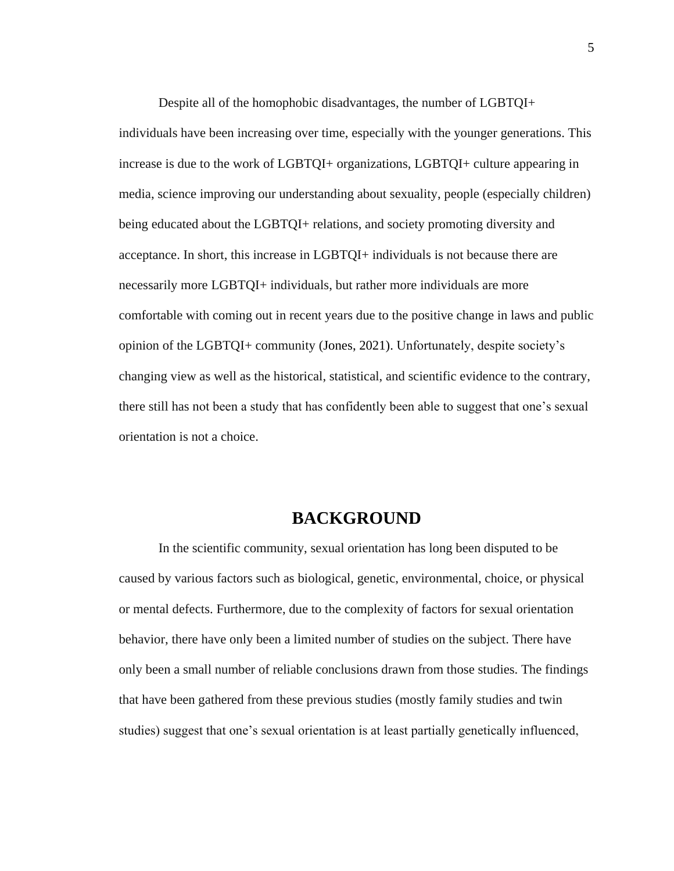Despite all of the homophobic disadvantages, the number of LGBTQI+ individuals have been increasing over time, especially with the younger generations. This increase is due to the work of LGBTQI+ organizations, LGBTQI+ culture appearing in media, science improving our understanding about sexuality, people (especially children) being educated about the LGBTQI+ relations, and society promoting diversity and acceptance. In short, this increase in LGBTQI+ individuals is not because there are necessarily more LGBTQI+ individuals, but rather more individuals are more comfortable with coming out in recent years due to the positive change in laws and public opinion of the LGBTQI+ community (Jones, 2021). Unfortunately, despite society's changing view as well as the historical, statistical, and scientific evidence to the contrary, there still has not been a study that has confidently been able to suggest that one's sexual orientation is not a choice.

## **BACKGROUND**

In the scientific community, sexual orientation has long been disputed to be caused by various factors such as biological, genetic, environmental, choice, or physical or mental defects. Furthermore, due to the complexity of factors for sexual orientation behavior, there have only been a limited number of studies on the subject. There have only been a small number of reliable conclusions drawn from those studies. The findings that have been gathered from these previous studies (mostly family studies and twin studies) suggest that one's sexual orientation is at least partially genetically influenced,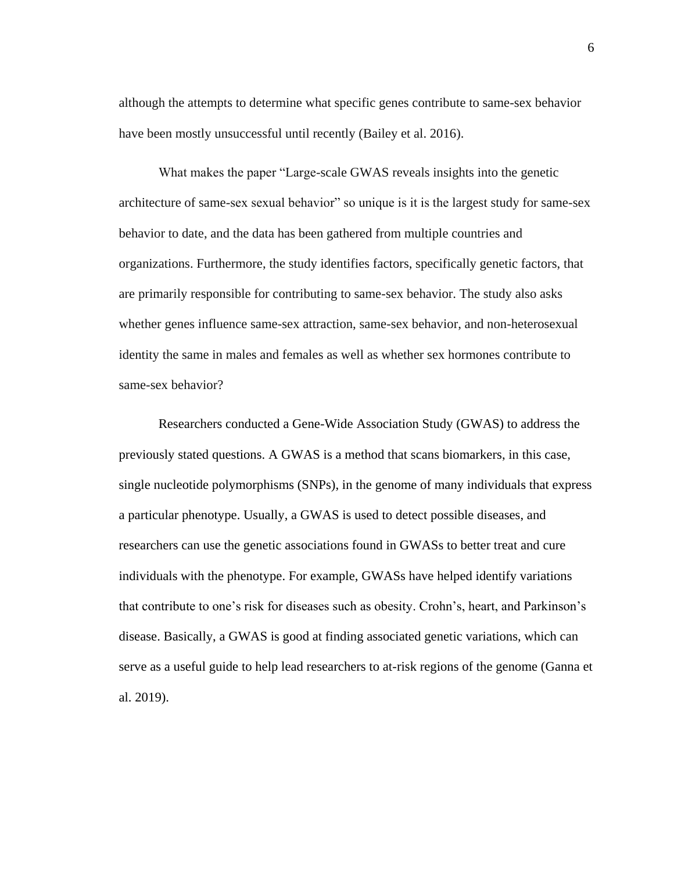although the attempts to determine what specific genes contribute to same-sex behavior have been mostly unsuccessful until recently (Bailey et al. 2016).

What makes the paper "Large-scale GWAS reveals insights into the genetic architecture of same-sex sexual behavior" so unique is it is the largest study for same-sex behavior to date, and the data has been gathered from multiple countries and organizations. Furthermore, the study identifies factors, specifically genetic factors, that are primarily responsible for contributing to same-sex behavior. The study also asks whether genes influence same-sex attraction, same-sex behavior, and non-heterosexual identity the same in males and females as well as whether sex hormones contribute to same-sex behavior?

Researchers conducted a Gene-Wide Association Study (GWAS) to address the previously stated questions. A GWAS is a method that scans biomarkers, in this case, single nucleotide polymorphisms (SNPs), in the genome of many individuals that express a particular phenotype. Usually, a GWAS is used to detect possible diseases, and researchers can use the genetic associations found in GWASs to better treat and cure individuals with the phenotype. For example, GWASs have helped identify variations that contribute to one's risk for diseases such as obesity. Crohn's, heart, and Parkinson's disease. Basically, a GWAS is good at finding associated genetic variations, which can serve as a useful guide to help lead researchers to at-risk regions of the genome (Ganna et al. 2019).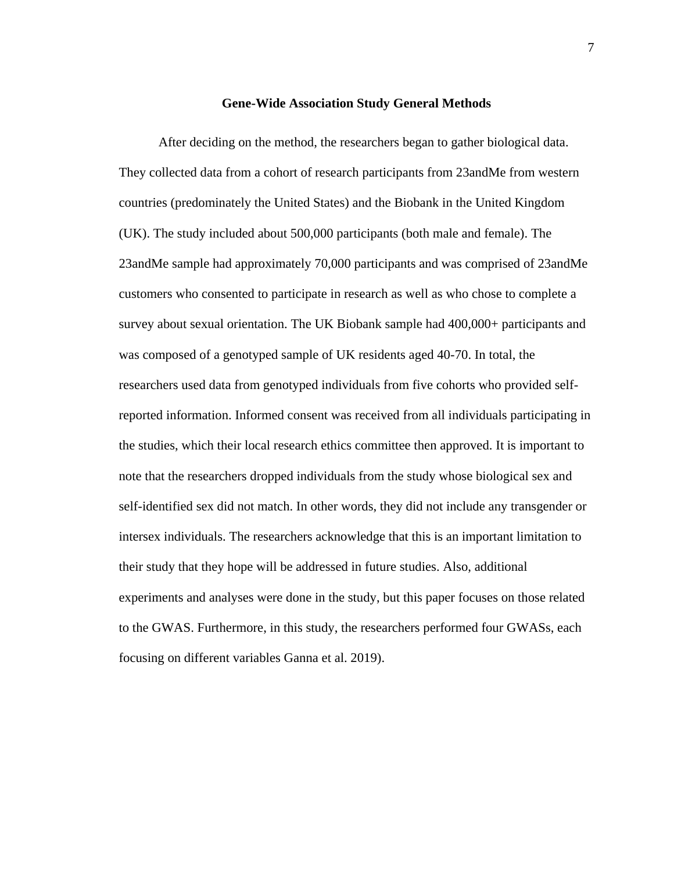#### **Gene-Wide Association Study General Methods**

After deciding on the method, the researchers began to gather biological data. They collected data from a cohort of research participants from 23andMe from western countries (predominately the United States) and the Biobank in the United Kingdom (UK). The study included about 500,000 participants (both male and female). The 23andMe sample had approximately 70,000 participants and was comprised of 23andMe customers who consented to participate in research as well as who chose to complete a survey about sexual orientation. The UK Biobank sample had 400,000+ participants and was composed of a genotyped sample of UK residents aged 40-70. In total, the researchers used data from genotyped individuals from five cohorts who provided selfreported information. Informed consent was received from all individuals participating in the studies, which their local research ethics committee then approved. It is important to note that the researchers dropped individuals from the study whose biological sex and self-identified sex did not match. In other words, they did not include any transgender or intersex individuals. The researchers acknowledge that this is an important limitation to their study that they hope will be addressed in future studies. Also, additional experiments and analyses were done in the study, but this paper focuses on those related to the GWAS. Furthermore, in this study, the researchers performed four GWASs, each focusing on different variables Ganna et al. 2019).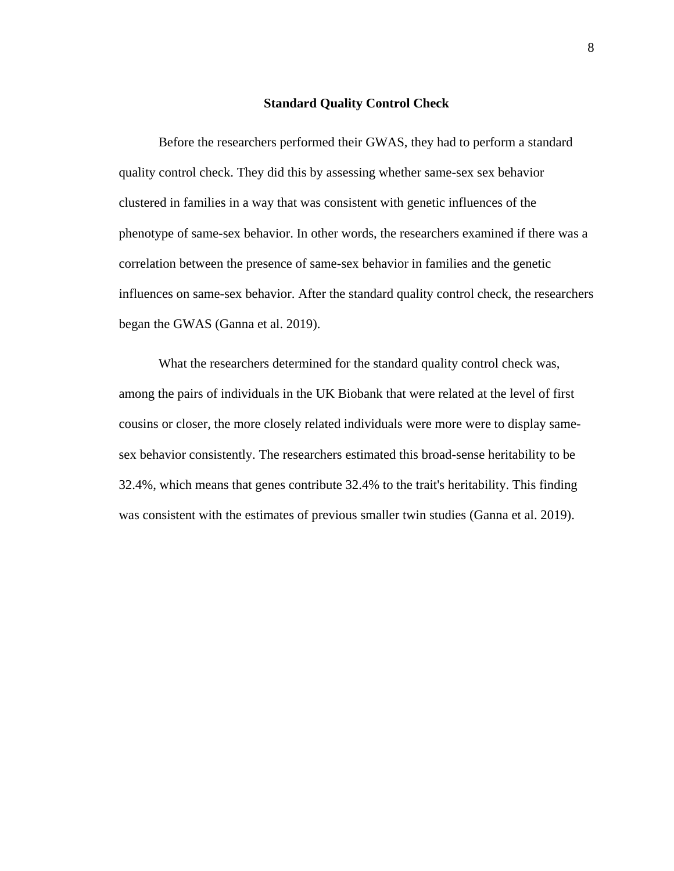#### **Standard Quality Control Check**

Before the researchers performed their GWAS, they had to perform a standard quality control check. They did this by assessing whether same-sex sex behavior clustered in families in a way that was consistent with genetic influences of the phenotype of same-sex behavior. In other words, the researchers examined if there was a correlation between the presence of same-sex behavior in families and the genetic influences on same-sex behavior. After the standard quality control check, the researchers began the GWAS (Ganna et al. 2019).

What the researchers determined for the standard quality control check was, among the pairs of individuals in the UK Biobank that were related at the level of first cousins or closer, the more closely related individuals were more were to display samesex behavior consistently. The researchers estimated this broad-sense heritability to be 32.4%, which means that genes contribute 32.4% to the trait's heritability. This finding was consistent with the estimates of previous smaller twin studies (Ganna et al. 2019).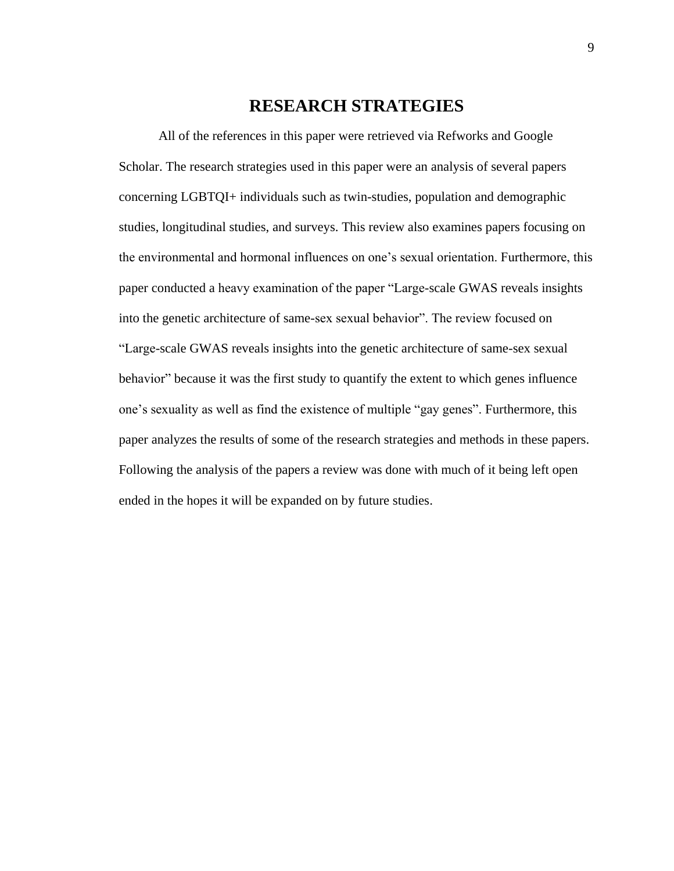## **RESEARCH STRATEGIES**

All of the references in this paper were retrieved via Refworks and Google Scholar. The research strategies used in this paper were an analysis of several papers concerning LGBTQI+ individuals such as twin-studies, population and demographic studies, longitudinal studies, and surveys. This review also examines papers focusing on the environmental and hormonal influences on one's sexual orientation. Furthermore, this paper conducted a heavy examination of the paper "Large-scale GWAS reveals insights into the genetic architecture of same-sex sexual behavior". The review focused on "Large-scale GWAS reveals insights into the genetic architecture of same-sex sexual behavior" because it was the first study to quantify the extent to which genes influence one's sexuality as well as find the existence of multiple "gay genes". Furthermore, this paper analyzes the results of some of the research strategies and methods in these papers. Following the analysis of the papers a review was done with much of it being left open ended in the hopes it will be expanded on by future studies.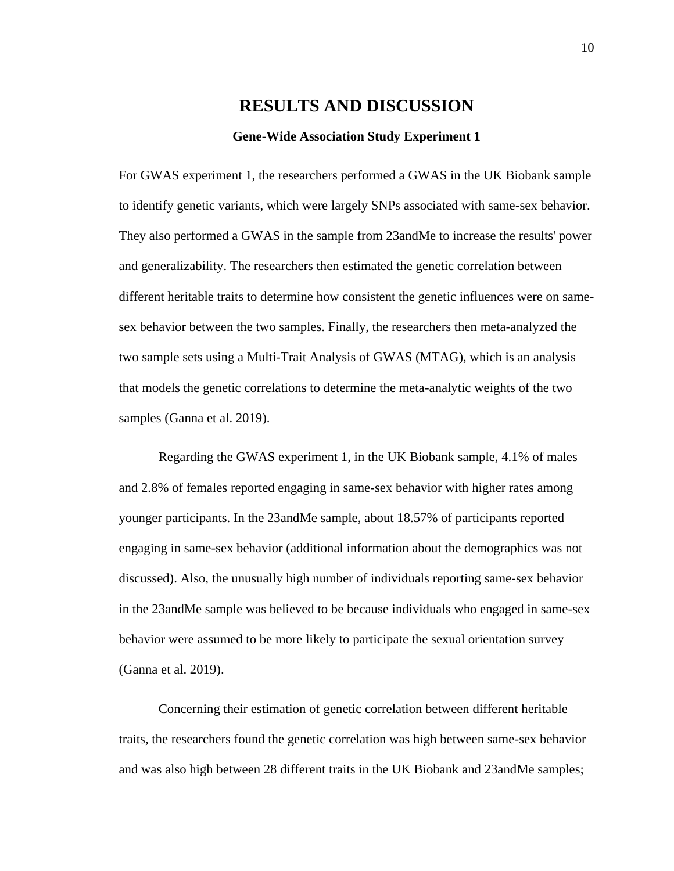## **RESULTS AND DISCUSSION**

#### **Gene-Wide Association Study Experiment 1**

For GWAS experiment 1, the researchers performed a GWAS in the UK Biobank sample to identify genetic variants, which were largely SNPs associated with same-sex behavior. They also performed a GWAS in the sample from 23andMe to increase the results' power and generalizability. The researchers then estimated the genetic correlation between different heritable traits to determine how consistent the genetic influences were on samesex behavior between the two samples. Finally, the researchers then meta-analyzed the two sample sets using a Multi-Trait Analysis of GWAS (MTAG), which is an analysis that models the genetic correlations to determine the meta-analytic weights of the two samples (Ganna et al. 2019).

Regarding the GWAS experiment 1, in the UK Biobank sample, 4.1% of males and 2.8% of females reported engaging in same-sex behavior with higher rates among younger participants. In the 23andMe sample, about 18.57% of participants reported engaging in same-sex behavior (additional information about the demographics was not discussed). Also, the unusually high number of individuals reporting same-sex behavior in the 23andMe sample was believed to be because individuals who engaged in same-sex behavior were assumed to be more likely to participate the sexual orientation survey (Ganna et al. 2019).

Concerning their estimation of genetic correlation between different heritable traits, the researchers found the genetic correlation was high between same-sex behavior and was also high between 28 different traits in the UK Biobank and 23andMe samples;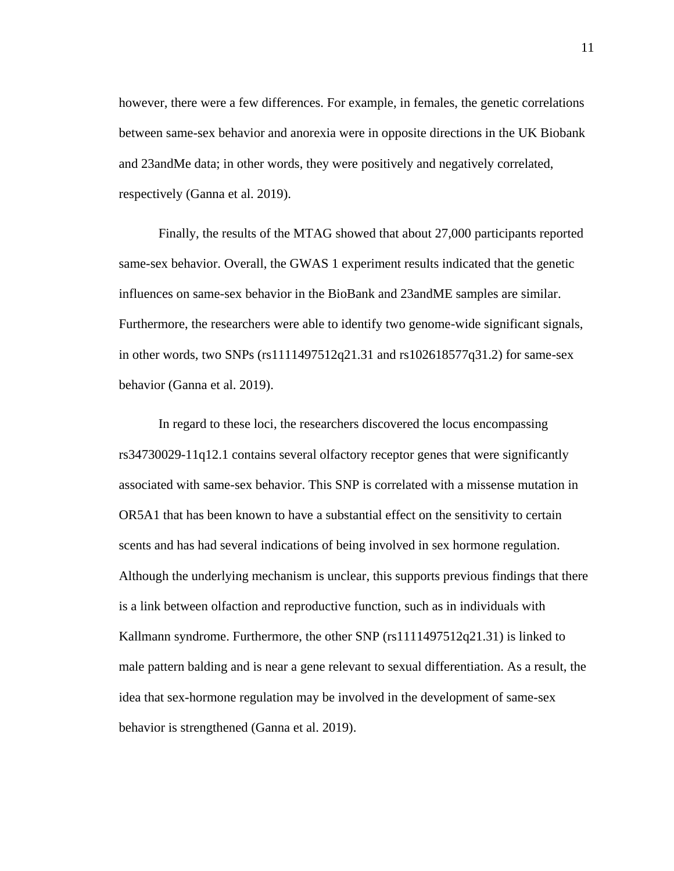however, there were a few differences. For example, in females, the genetic correlations between same-sex behavior and anorexia were in opposite directions in the UK Biobank and 23andMe data; in other words, they were positively and negatively correlated, respectively (Ganna et al. 2019).

Finally, the results of the MTAG showed that about 27,000 participants reported same-sex behavior. Overall, the GWAS 1 experiment results indicated that the genetic influences on same-sex behavior in the BioBank and 23andME samples are similar. Furthermore, the researchers were able to identify two genome-wide significant signals, in other words, two SNPs (rs1111497512q21.31 and rs102618577q31.2) for same-sex behavior (Ganna et al. 2019).

In regard to these loci, the researchers discovered the locus encompassing rs34730029-11q12.1 contains several olfactory receptor genes that were significantly associated with same-sex behavior. This SNP is correlated with a missense mutation in OR5A1 that has been known to have a substantial effect on the sensitivity to certain scents and has had several indications of being involved in sex hormone regulation. Although the underlying mechanism is unclear, this supports previous findings that there is a link between olfaction and reproductive function, such as in individuals with Kallmann syndrome. Furthermore, the other SNP (rs1111497512q21.31) is linked to male pattern balding and is near a gene relevant to sexual differentiation. As a result, the idea that sex-hormone regulation may be involved in the development of same-sex behavior is strengthened (Ganna et al. 2019).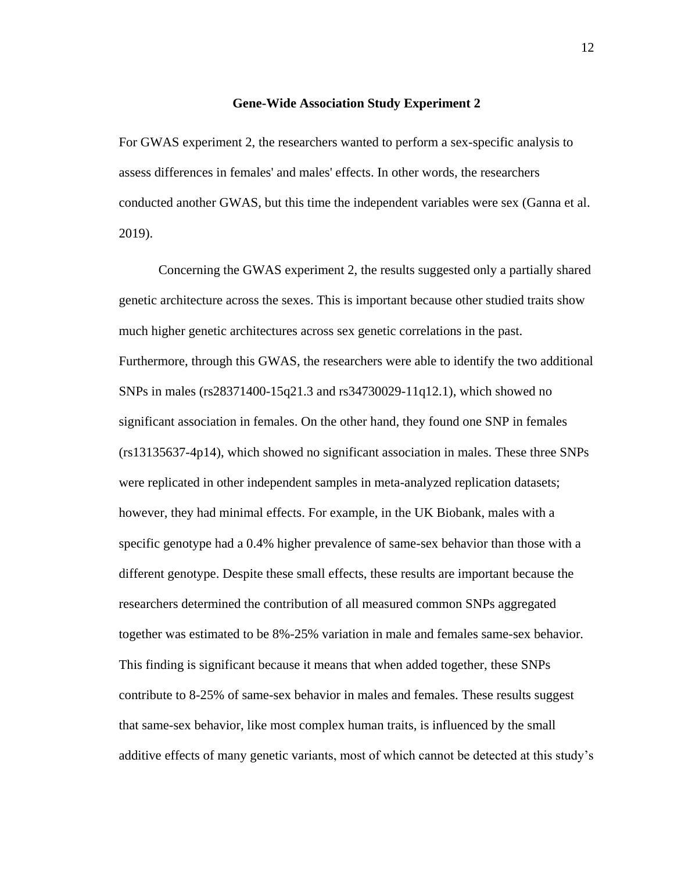#### **Gene-Wide Association Study Experiment 2**

For GWAS experiment 2, the researchers wanted to perform a sex-specific analysis to assess differences in females' and males' effects. In other words, the researchers conducted another GWAS, but this time the independent variables were sex (Ganna et al. 2019).

Concerning the GWAS experiment 2, the results suggested only a partially shared genetic architecture across the sexes. This is important because other studied traits show much higher genetic architectures across sex genetic correlations in the past. Furthermore, through this GWAS, the researchers were able to identify the two additional SNPs in males (rs28371400-15q21.3 and rs34730029-11q12.1), which showed no significant association in females. On the other hand, they found one SNP in females (rs13135637-4p14), which showed no significant association in males. These three SNPs were replicated in other independent samples in meta-analyzed replication datasets; however, they had minimal effects. For example, in the UK Biobank, males with a specific genotype had a 0.4% higher prevalence of same-sex behavior than those with a different genotype. Despite these small effects, these results are important because the researchers determined the contribution of all measured common SNPs aggregated together was estimated to be 8%-25% variation in male and females same-sex behavior. This finding is significant because it means that when added together, these SNPs contribute to 8-25% of same-sex behavior in males and females. These results suggest that same-sex behavior, like most complex human traits, is influenced by the small additive effects of many genetic variants, most of which cannot be detected at this study's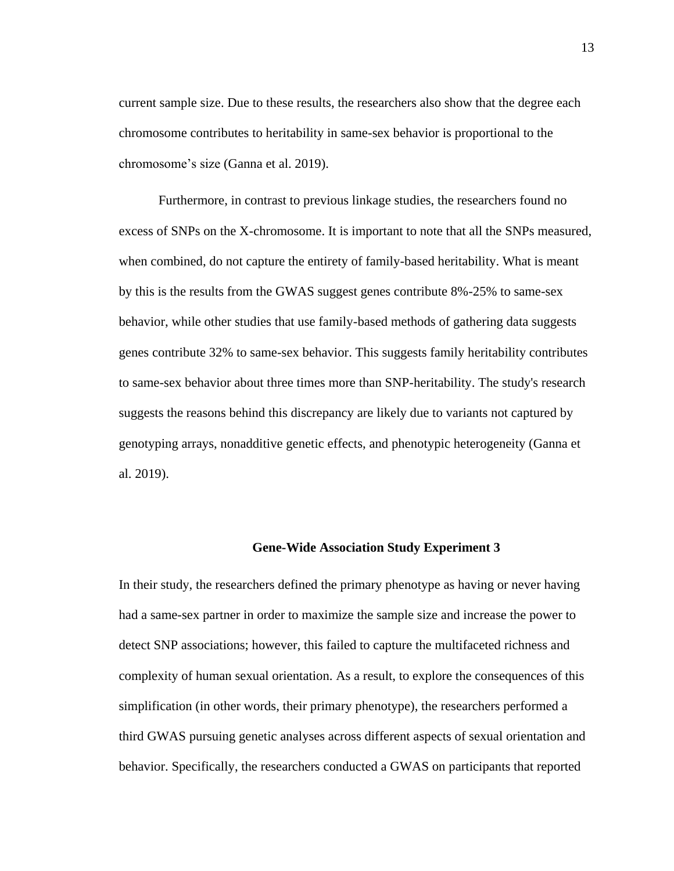current sample size. Due to these results, the researchers also show that the degree each chromosome contributes to heritability in same-sex behavior is proportional to the chromosome's size (Ganna et al. 2019).

Furthermore, in contrast to previous linkage studies, the researchers found no excess of SNPs on the X-chromosome. It is important to note that all the SNPs measured, when combined, do not capture the entirety of family-based heritability. What is meant by this is the results from the GWAS suggest genes contribute 8%-25% to same-sex behavior, while other studies that use family-based methods of gathering data suggests genes contribute 32% to same-sex behavior. This suggests family heritability contributes to same-sex behavior about three times more than SNP-heritability. The study's research suggests the reasons behind this discrepancy are likely due to variants not captured by genotyping arrays, nonadditive genetic effects, and phenotypic heterogeneity (Ganna et al. 2019).

#### **Gene-Wide Association Study Experiment 3**

In their study, the researchers defined the primary phenotype as having or never having had a same-sex partner in order to maximize the sample size and increase the power to detect SNP associations; however, this failed to capture the multifaceted richness and complexity of human sexual orientation. As a result, to explore the consequences of this simplification (in other words, their primary phenotype), the researchers performed a third GWAS pursuing genetic analyses across different aspects of sexual orientation and behavior. Specifically, the researchers conducted a GWAS on participants that reported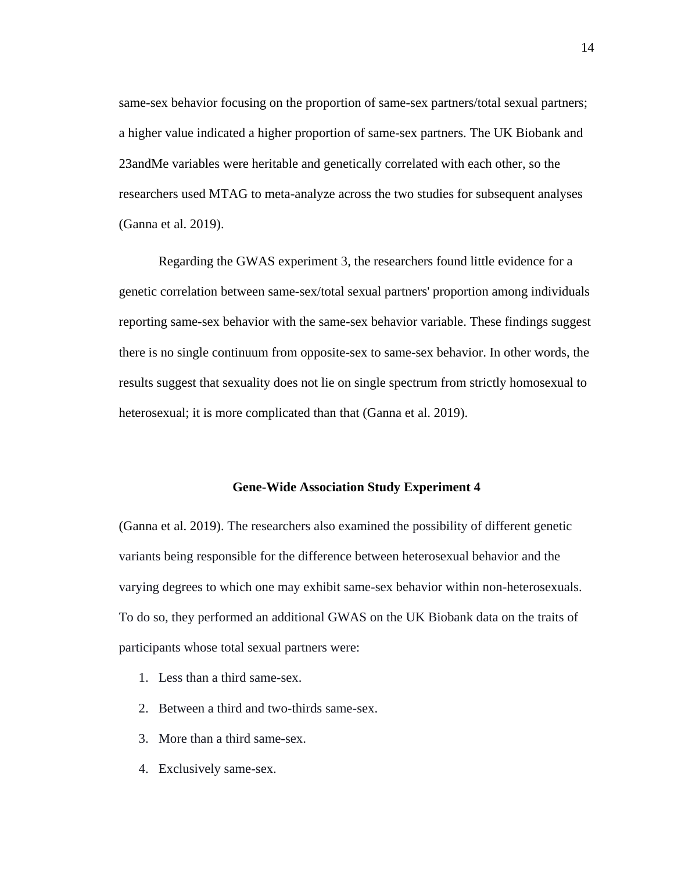same-sex behavior focusing on the proportion of same-sex partners/total sexual partners; a higher value indicated a higher proportion of same-sex partners. The UK Biobank and 23andMe variables were heritable and genetically correlated with each other, so the researchers used MTAG to meta-analyze across the two studies for subsequent analyses (Ganna et al. 2019).

Regarding the GWAS experiment 3, the researchers found little evidence for a genetic correlation between same-sex/total sexual partners' proportion among individuals reporting same-sex behavior with the same-sex behavior variable. These findings suggest there is no single continuum from opposite-sex to same-sex behavior. In other words, the results suggest that sexuality does not lie on single spectrum from strictly homosexual to heterosexual; it is more complicated than that (Ganna et al. 2019).

#### **Gene-Wide Association Study Experiment 4**

(Ganna et al. 2019). The researchers also examined the possibility of different genetic variants being responsible for the difference between heterosexual behavior and the varying degrees to which one may exhibit same-sex behavior within non-heterosexuals. To do so, they performed an additional GWAS on the UK Biobank data on the traits of participants whose total sexual partners were:

- 1. Less than a third same-sex.
- 2. Between a third and two-thirds same-sex.
- 3. More than a third same-sex.
- 4. Exclusively same-sex.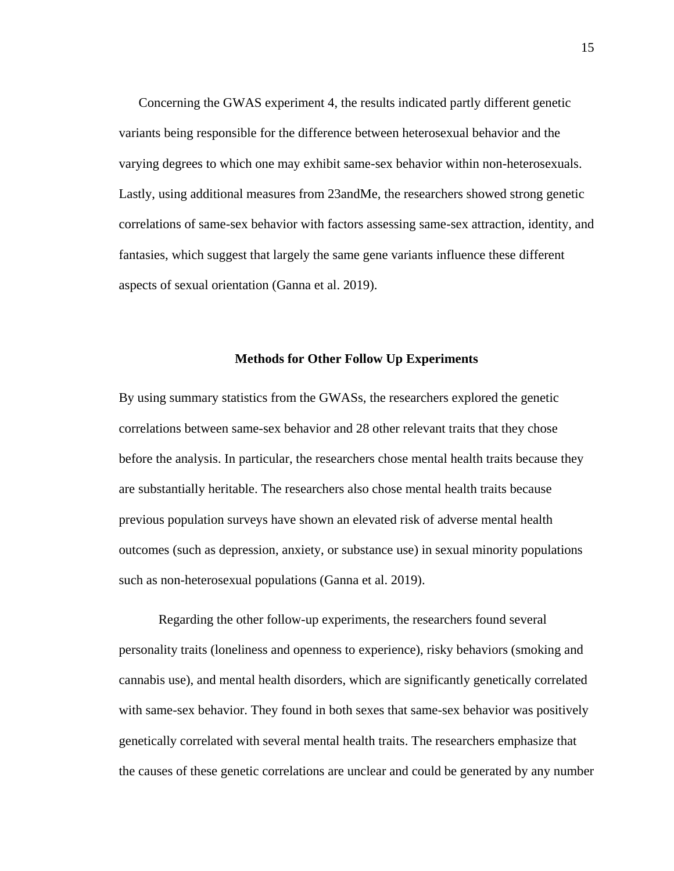Concerning the GWAS experiment 4, the results indicated partly different genetic variants being responsible for the difference between heterosexual behavior and the varying degrees to which one may exhibit same-sex behavior within non-heterosexuals. Lastly, using additional measures from 23andMe, the researchers showed strong genetic correlations of same-sex behavior with factors assessing same-sex attraction, identity, and fantasies, which suggest that largely the same gene variants influence these different aspects of sexual orientation (Ganna et al. 2019).

#### **Methods for Other Follow Up Experiments**

By using summary statistics from the GWASs, the researchers explored the genetic correlations between same-sex behavior and 28 other relevant traits that they chose before the analysis. In particular, the researchers chose mental health traits because they are substantially heritable. The researchers also chose mental health traits because previous population surveys have shown an elevated risk of adverse mental health outcomes (such as depression, anxiety, or substance use) in sexual minority populations such as non-heterosexual populations (Ganna et al. 2019).

Regarding the other follow-up experiments, the researchers found several personality traits (loneliness and openness to experience), risky behaviors (smoking and cannabis use), and mental health disorders, which are significantly genetically correlated with same-sex behavior. They found in both sexes that same-sex behavior was positively genetically correlated with several mental health traits. The researchers emphasize that the causes of these genetic correlations are unclear and could be generated by any number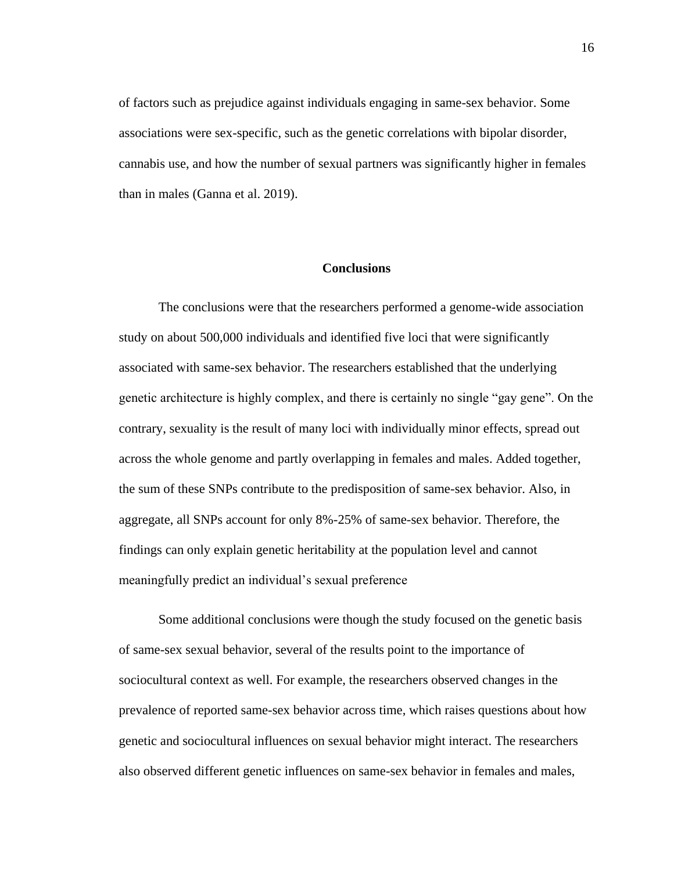of factors such as prejudice against individuals engaging in same-sex behavior. Some associations were sex-specific, such as the genetic correlations with bipolar disorder, cannabis use, and how the number of sexual partners was significantly higher in females than in males (Ganna et al. 2019).

## **Conclusions**

The conclusions were that the researchers performed a genome-wide association study on about 500,000 individuals and identified five loci that were significantly associated with same-sex behavior. The researchers established that the underlying genetic architecture is highly complex, and there is certainly no single "gay gene". On the contrary, sexuality is the result of many loci with individually minor effects, spread out across the whole genome and partly overlapping in females and males. Added together, the sum of these SNPs contribute to the predisposition of same-sex behavior. Also, in aggregate, all SNPs account for only 8%-25% of same-sex behavior. Therefore, the findings can only explain genetic heritability at the population level and cannot meaningfully predict an individual's sexual preference

Some additional conclusions were though the study focused on the genetic basis of same-sex sexual behavior, several of the results point to the importance of sociocultural context as well. For example, the researchers observed changes in the prevalence of reported same-sex behavior across time, which raises questions about how genetic and sociocultural influences on sexual behavior might interact. The researchers also observed different genetic influences on same-sex behavior in females and males,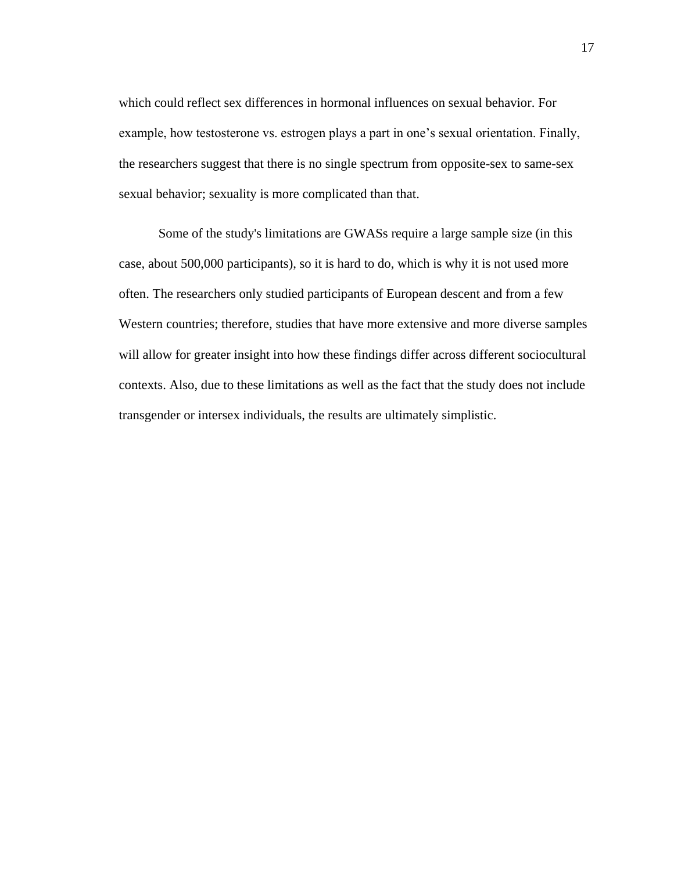which could reflect sex differences in hormonal influences on sexual behavior. For example, how testosterone vs. estrogen plays a part in one's sexual orientation. Finally, the researchers suggest that there is no single spectrum from opposite-sex to same-sex sexual behavior; sexuality is more complicated than that.

Some of the study's limitations are GWASs require a large sample size (in this case, about 500,000 participants), so it is hard to do, which is why it is not used more often. The researchers only studied participants of European descent and from a few Western countries; therefore, studies that have more extensive and more diverse samples will allow for greater insight into how these findings differ across different sociocultural contexts. Also, due to these limitations as well as the fact that the study does not include transgender or intersex individuals, the results are ultimately simplistic.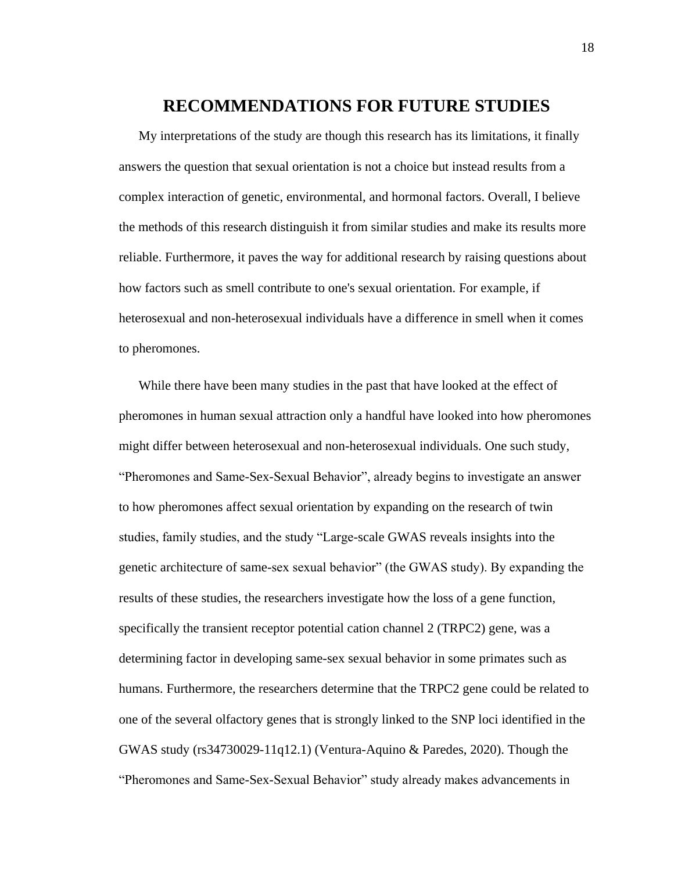## **RECOMMENDATIONS FOR FUTURE STUDIES**

My interpretations of the study are though this research has its limitations, it finally answers the question that sexual orientation is not a choice but instead results from a complex interaction of genetic, environmental, and hormonal factors. Overall, I believe the methods of this research distinguish it from similar studies and make its results more reliable. Furthermore, it paves the way for additional research by raising questions about how factors such as smell contribute to one's sexual orientation. For example, if heterosexual and non-heterosexual individuals have a difference in smell when it comes to pheromones.

While there have been many studies in the past that have looked at the effect of pheromones in human sexual attraction only a handful have looked into how pheromones might differ between heterosexual and non-heterosexual individuals. One such study, "Pheromones and Same-Sex-Sexual Behavior", already begins to investigate an answer to how pheromones affect sexual orientation by expanding on the research of twin studies, family studies, and the study "Large-scale GWAS reveals insights into the genetic architecture of same-sex sexual behavior" (the GWAS study). By expanding the results of these studies, the researchers investigate how the loss of a gene function, specifically the transient receptor potential cation channel 2 (TRPC2) gene, was a determining factor in developing same-sex sexual behavior in some primates such as humans. Furthermore, the researchers determine that the TRPC2 gene could be related to one of the several olfactory genes that is strongly linked to the SNP loci identified in the GWAS study (rs34730029-11q12.1) (Ventura-Aquino & Paredes, 2020). Though the "Pheromones and Same-Sex-Sexual Behavior" study already makes advancements in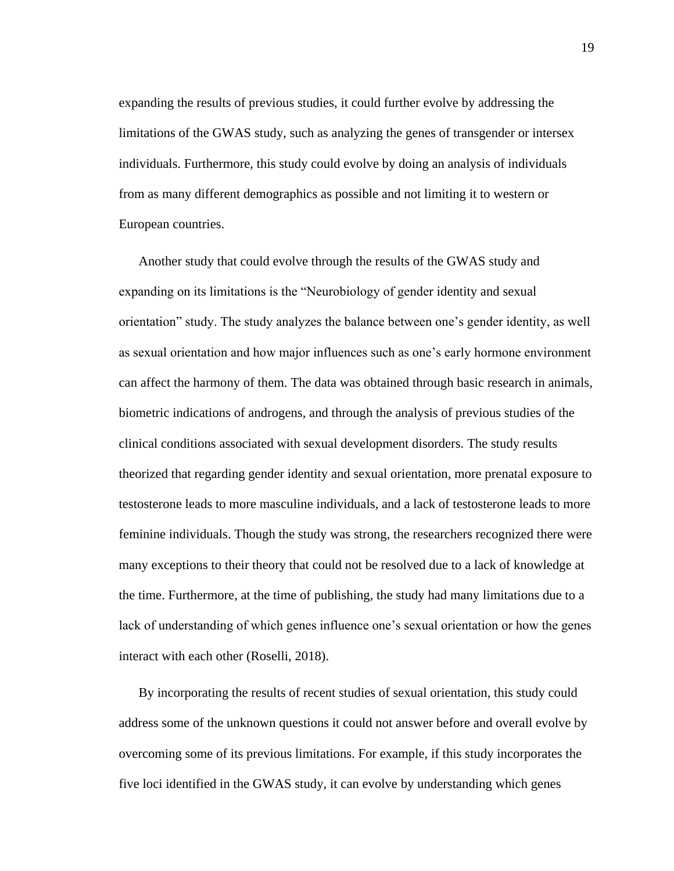expanding the results of previous studies, it could further evolve by addressing the limitations of the GWAS study, such as analyzing the genes of transgender or intersex individuals. Furthermore, this study could evolve by doing an analysis of individuals from as many different demographics as possible and not limiting it to western or European countries.

Another study that could evolve through the results of the GWAS study and expanding on its limitations is the "Neurobiology of gender identity and sexual orientation" study. The study analyzes the balance between one's gender identity, as well as sexual orientation and how major influences such as one's early hormone environment can affect the harmony of them. The data was obtained through basic research in animals, biometric indications of androgens, and through the analysis of previous studies of the clinical conditions associated with sexual development disorders. The study results theorized that regarding gender identity and sexual orientation, more prenatal exposure to testosterone leads to more masculine individuals, and a lack of testosterone leads to more feminine individuals. Though the study was strong, the researchers recognized there were many exceptions to their theory that could not be resolved due to a lack of knowledge at the time. Furthermore, at the time of publishing, the study had many limitations due to a lack of understanding of which genes influence one's sexual orientation or how the genes interact with each other (Roselli, 2018).

By incorporating the results of recent studies of sexual orientation, this study could address some of the unknown questions it could not answer before and overall evolve by overcoming some of its previous limitations. For example, if this study incorporates the five loci identified in the GWAS study, it can evolve by understanding which genes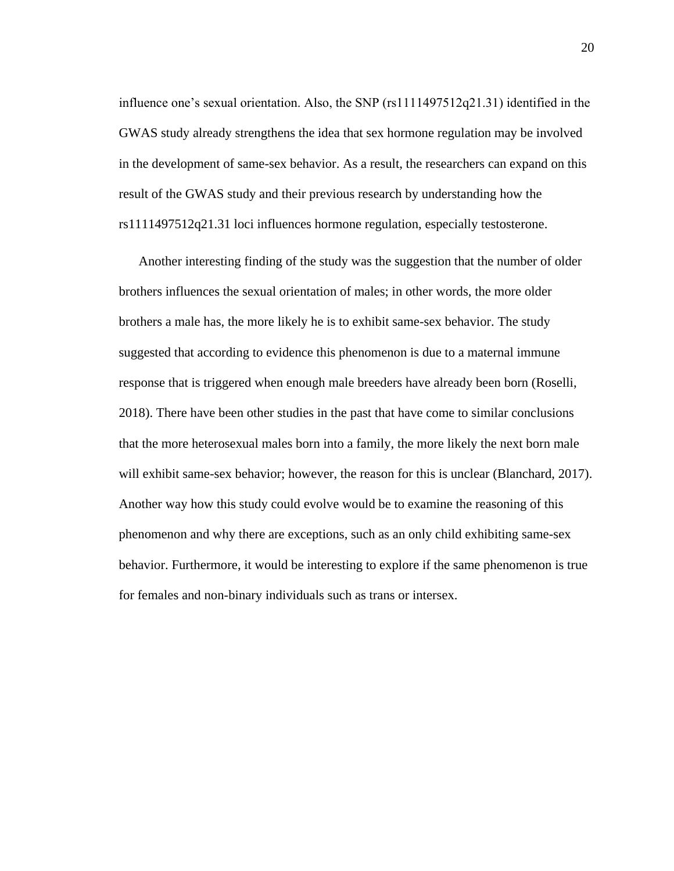influence one's sexual orientation. Also, the SNP (rs1111497512q21.31) identified in the GWAS study already strengthens the idea that sex hormone regulation may be involved in the development of same-sex behavior. As a result, the researchers can expand on this result of the GWAS study and their previous research by understanding how the rs1111497512q21.31 loci influences hormone regulation, especially testosterone.

Another interesting finding of the study was the suggestion that the number of older brothers influences the sexual orientation of males; in other words, the more older brothers a male has, the more likely he is to exhibit same-sex behavior. The study suggested that according to evidence this phenomenon is due to a maternal immune response that is triggered when enough male breeders have already been born (Roselli, 2018). There have been other studies in the past that have come to similar conclusions that the more heterosexual males born into a family, the more likely the next born male will exhibit same-sex behavior; however, the reason for this is unclear (Blanchard, 2017). Another way how this study could evolve would be to examine the reasoning of this phenomenon and why there are exceptions, such as an only child exhibiting same-sex behavior. Furthermore, it would be interesting to explore if the same phenomenon is true for females and non-binary individuals such as trans or intersex.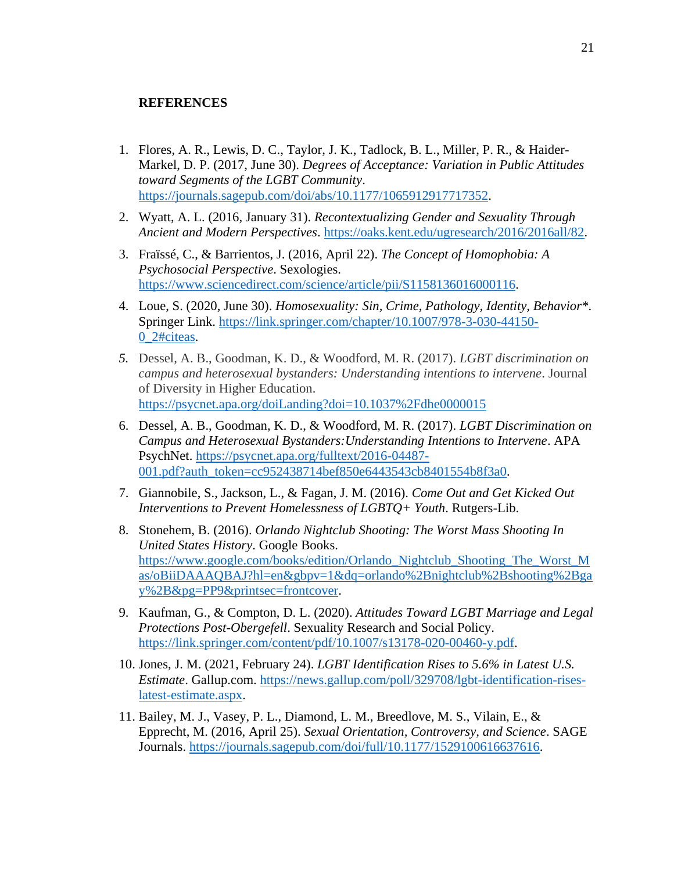## **REFERENCES**

- 1. Flores, A. R., Lewis, D. C., Taylor, J. K., Tadlock, B. L., Miller, P. R., & Haider-Markel, D. P. (2017, June 30). *Degrees of Acceptance: Variation in Public Attitudes toward Segments of the LGBT Community*. [https://journals.sagepub.com/doi/abs/10.1177/1065912917717352.](https://journals.sagepub.com/doi/abs/10.1177/1065912917717352)
- 2. Wyatt, A. L. (2016, January 31). *Recontextualizing Gender and Sexuality Through Ancient and Modern Perspectives*. [https://oaks.kent.edu/ugresearch/2016/2016all/82.](https://oaks.kent.edu/ugresearch/2016/2016all/82)
- 3. Fraïssé, C., & Barrientos, J. (2016, April 22). *The Concept of Homophobia: A Psychosocial Perspective*. Sexologies. [https://www.sciencedirect.com/science/article/pii/S1158136016000116.](https://www.sciencedirect.com/science/article/pii/S1158136016000116)
- 4. Loue, S. (2020, June 30). *Homosexuality: Sin, Crime, Pathology, Identity, Behavior\**. Springer Link. [https://link.springer.com/chapter/10.1007/978-3-030-44150-](https://link.springer.com/chapter/10.1007/978-3-030-44150-0_2#citeas) [0\\_2#citeas.](https://link.springer.com/chapter/10.1007/978-3-030-44150-0_2#citeas)
- *5.* Dessel, A. B., Goodman, K. D., & Woodford, M. R. (2017). *LGBT discrimination on campus and heterosexual bystanders: Understanding intentions to intervene*. Journal of Diversity in Higher Education. <https://psycnet.apa.org/doiLanding?doi=10.1037%2Fdhe0000015>
- 6. Dessel, A. B., Goodman, K. D., & Woodford, M. R. (2017). *LGBT Discrimination on Campus and Heterosexual Bystanders:Understanding Intentions to Intervene*. APA PsychNet. [https://psycnet.apa.org/fulltext/2016-04487-](https://psycnet.apa.org/fulltext/2016-04487-001.pdf?auth_token=cc952438714bef850e6443543cb8401554b8f3a0) [001.pdf?auth\\_token=cc952438714bef850e6443543cb8401554b8f3a0.](https://psycnet.apa.org/fulltext/2016-04487-001.pdf?auth_token=cc952438714bef850e6443543cb8401554b8f3a0)
- 7. Giannobile, S., Jackson, L., & Fagan, J. M. (2016). *Come Out and Get Kicked Out Interventions to Prevent Homelessness of LGBTQ+ Youth*. Rutgers-Lib.
- 8. Stonehem, B. (2016). *Orlando Nightclub Shooting: The Worst Mass Shooting In United States History*. Google Books. [https://www.google.com/books/edition/Orlando\\_Nightclub\\_Shooting\\_The\\_Worst\\_M](https://www.google.com/books/edition/Orlando_Nightclub_Shooting_The_Worst_Mas/oBiiDAAAQBAJ?hl=en&gbpv=1&dq=orlando%2Bnightclub%2Bshooting%2Bgay%2B&pg=PP9&printsec=frontcover) [as/oBiiDAAAQBAJ?hl=en&gbpv=1&dq=orlando%2Bnightclub%2Bshooting%2Bga](https://www.google.com/books/edition/Orlando_Nightclub_Shooting_The_Worst_Mas/oBiiDAAAQBAJ?hl=en&gbpv=1&dq=orlando%2Bnightclub%2Bshooting%2Bgay%2B&pg=PP9&printsec=frontcover) [y%2B&pg=PP9&printsec=frontcover.](https://www.google.com/books/edition/Orlando_Nightclub_Shooting_The_Worst_Mas/oBiiDAAAQBAJ?hl=en&gbpv=1&dq=orlando%2Bnightclub%2Bshooting%2Bgay%2B&pg=PP9&printsec=frontcover)
- 9. Kaufman, G., & Compton, D. L. (2020). *Attitudes Toward LGBT Marriage and Legal Protections Post-Obergefell*. Sexuality Research and Social Policy. [https://link.springer.com/content/pdf/10.1007/s13178-020-00460-y.pdf.](https://link.springer.com/content/pdf/10.1007/s13178-020-00460-y.pdf)
- 10. Jones, J. M. (2021, February 24). *LGBT Identification Rises to 5.6% in Latest U.S. Estimate*. Gallup.com. [https://news.gallup.com/poll/329708/lgbt-identification-rises](https://news.gallup.com/poll/329708/lgbt-identification-rises-latest-estimate.aspx)[latest-estimate.aspx.](https://news.gallup.com/poll/329708/lgbt-identification-rises-latest-estimate.aspx)
- 11. Bailey, M. J., Vasey, P. L., Diamond, L. M., Breedlove, M. S., Vilain, E., & Epprecht, M. (2016, April 25). *Sexual Orientation, Controversy, and Science*. SAGE Journals. [https://journals.sagepub.com/doi/full/10.1177/1529100616637616.](https://journals.sagepub.com/doi/full/10.1177/1529100616637616)